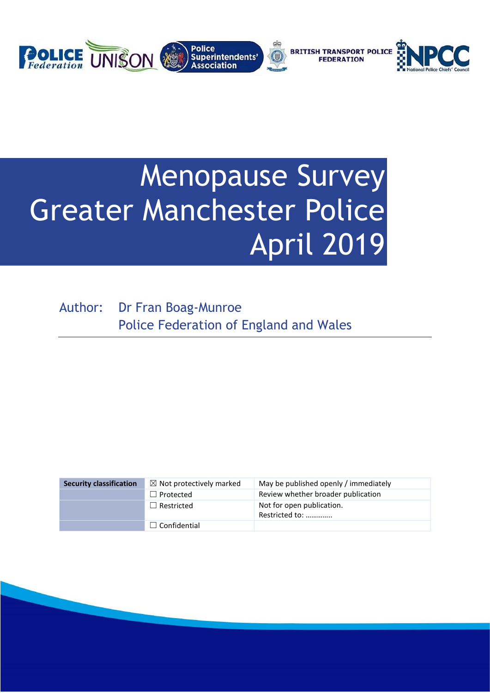

# Menopause Survey Greater Manchester Police April 2019

Author: Dr Fran Boag-Munroe Police Federation of England and Wales

| <b>Security classification</b> | $\boxtimes$ Not protectively marked | May be published openly / immediately       |
|--------------------------------|-------------------------------------|---------------------------------------------|
|                                | $\Box$ Protected                    | Review whether broader publication          |
|                                | $\Box$ Restricted                   | Not for open publication.<br>Restricted to: |
|                                | $\Box$ Confidential                 |                                             |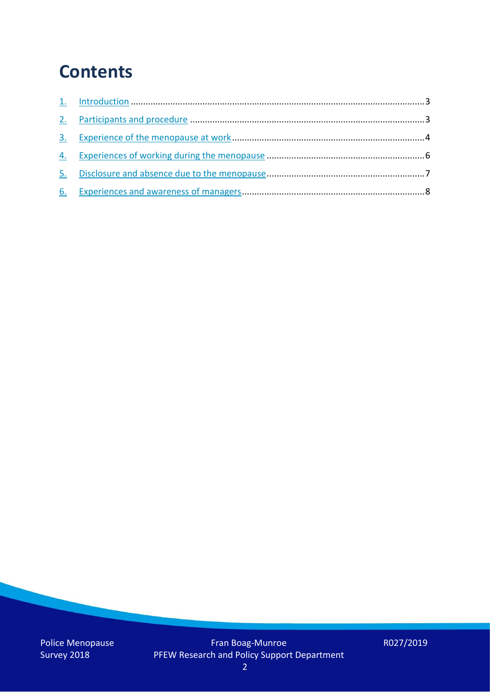## **Contents**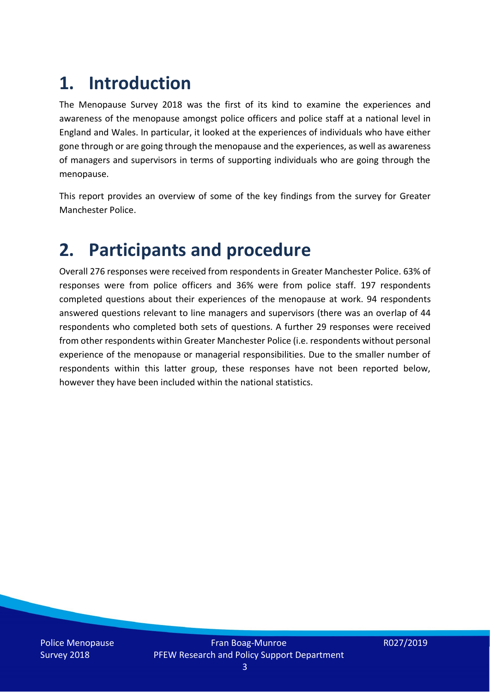## **1. Introduction**

The Menopause Survey 2018 was the first of its kind to examine the experiences and awareness of the menopause amongst police officers and police staff at a national level in England and Wales. In particular, it looked at the experiences of individuals who have either gone through or are going through the menopause and the experiences, as well as awareness of managers and supervisors in terms of supporting individuals who are going through the menopause.

This report provides an overview of some of the key findings from the survey for Greater Manchester Police.

## **2. Participants and procedure**

Overall 276 responses were received from respondents in Greater Manchester Police. 63% of responses were from police officers and 36% were from police staff. 197 respondents completed questions about their experiences of the menopause at work. 94 respondents answered questions relevant to line managers and supervisors (there was an overlap of 44 respondents who completed both sets of questions. A further 29 responses were received from other respondents within Greater Manchester Police (i.e. respondents without personal experience of the menopause or managerial responsibilities. Due to the smaller number of respondents within this latter group, these responses have not been reported below, however they have been included within the national statistics.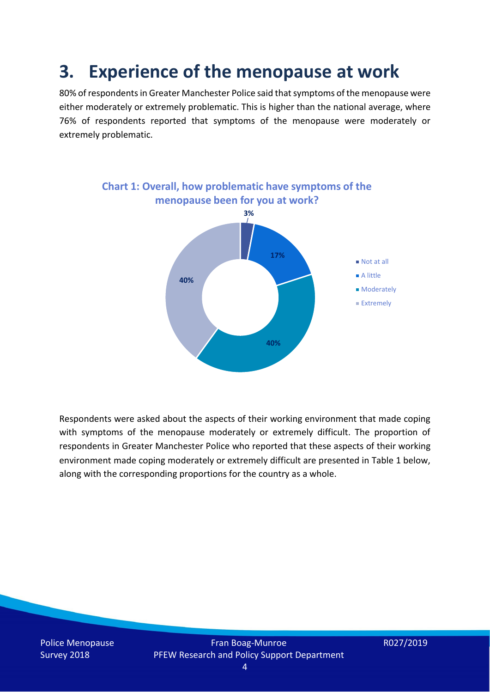## **3. Experience of the menopause at work**

80% of respondents in Greater Manchester Police said that symptoms of the menopause were either moderately or extremely problematic. This is higher than the national average, where 76% of respondents reported that symptoms of the menopause were moderately or extremely problematic.



Respondents were asked about the aspects of their working environment that made coping with symptoms of the menopause moderately or extremely difficult. The proportion of respondents in Greater Manchester Police who reported that these aspects of their working environment made coping moderately or extremely difficult are presented in Table 1 below, along with the corresponding proportions for the country as a whole.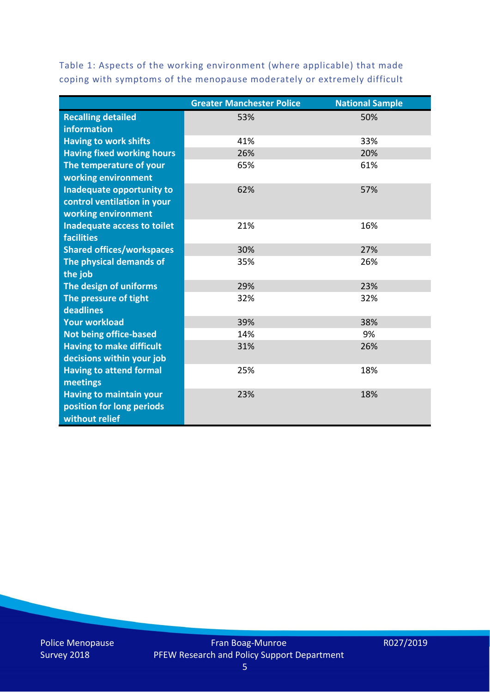Table 1: Aspects of the working environment (where applicable) that made coping with symptoms of the menopause moderately or extremely difficult

|                                   | <b>Greater Manchester Police</b> | <b>National Sample</b> |
|-----------------------------------|----------------------------------|------------------------|
| <b>Recalling detailed</b>         | 53%                              | 50%                    |
| information                       |                                  |                        |
| <b>Having to work shifts</b>      | 41%                              | 33%                    |
| <b>Having fixed working hours</b> | 26%                              | 20%                    |
| The temperature of your           | 65%                              | 61%                    |
| working environment               |                                  |                        |
| <b>Inadequate opportunity to</b>  | 62%                              | 57%                    |
| control ventilation in your       |                                  |                        |
| working environment               |                                  |                        |
| Inadequate access to toilet       | 21%                              | 16%                    |
| <b>facilities</b>                 |                                  |                        |
| <b>Shared offices/workspaces</b>  | 30%                              | 27%                    |
| The physical demands of           | 35%                              | 26%                    |
| the job                           |                                  |                        |
| The design of uniforms            | 29%                              | 23%                    |
| The pressure of tight             | 32%                              | 32%                    |
| deadlines                         |                                  |                        |
| <b>Your workload</b>              | 39%                              | 38%                    |
| <b>Not being office-based</b>     | 14%                              | 9%                     |
| <b>Having to make difficult</b>   | 31%                              | 26%                    |
| decisions within your job         |                                  |                        |
| <b>Having to attend formal</b>    | 25%                              | 18%                    |
| meetings                          |                                  |                        |
| <b>Having to maintain your</b>    | 23%                              | 18%                    |
| position for long periods         |                                  |                        |
| without relief                    |                                  |                        |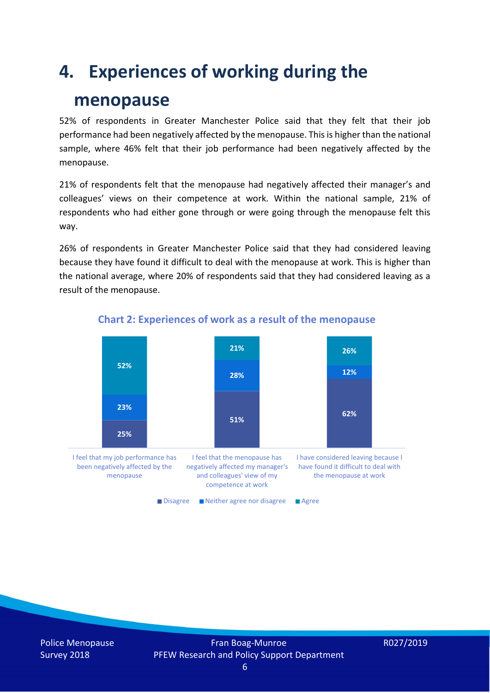## **4. Experiences of working during the**

### **menopause**

52% of respondents in Greater Manchester Police said that they felt that their job performance had been negatively affected by the menopause. This is higher than the national sample, where 46% felt that their job performance had been negatively affected by the menopause.

21% of respondents felt that the menopause had negatively affected their manager's and colleagues' views on their competence at work. Within the national sample, 21% of respondents who had either gone through or were going through the menopause felt this way.

26% of respondents in Greater Manchester Police said that they had considered leaving because they have found it difficult to deal with the menopause at work. This is higher than the national average, where 20% of respondents said that they had considered leaving as a result of the menopause.



#### **Chart 2: Experiences of work as a result of the menopause**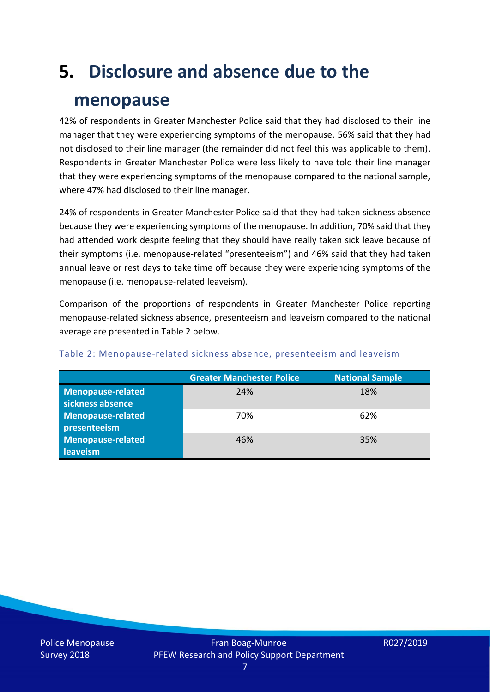# **5. Disclosure and absence due to the**

### **menopause**

42% of respondents in Greater Manchester Police said that they had disclosed to their line manager that they were experiencing symptoms of the menopause. 56% said that they had not disclosed to their line manager (the remainder did not feel this was applicable to them). Respondents in Greater Manchester Police were less likely to have told their line manager that they were experiencing symptoms of the menopause compared to the national sample, where 47% had disclosed to their line manager.

24% of respondents in Greater Manchester Police said that they had taken sickness absence because they were experiencing symptoms of the menopause. In addition, 70% said that they had attended work despite feeling that they should have really taken sick leave because of their symptoms (i.e. menopause-related "presenteeism") and 46% said that they had taken annual leave or rest days to take time off because they were experiencing symptoms of the menopause (i.e. menopause-related leaveism).

Comparison of the proportions of respondents in Greater Manchester Police reporting menopause-related sickness absence, presenteeism and leaveism compared to the national average are presented in Table 2 below.

|                          | <b>Greater Manchester Police</b> | <b>National Sample</b> |
|--------------------------|----------------------------------|------------------------|
| <b>Menopause-related</b> | 24%                              | 18%                    |
| sickness absence         |                                  |                        |
| Menopause-related        | 70%                              | 62%                    |
| presenteeism             |                                  |                        |
| <b>Menopause-related</b> | 46%                              | 35%                    |
| leaveism                 |                                  |                        |

#### Table 2: Menopause-related sickness absence, presenteeism and leaveism